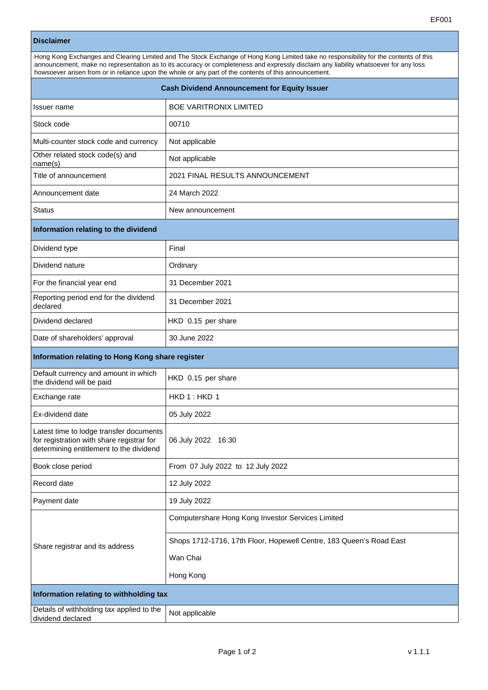## **Disclaimer**

| Hong Kong Exchanges and Clearing Limited and The Stock Exchange of Hong Kong Limited take no responsibility for the contents of this<br>announcement, make no representation as to its accuracy or completeness and expressly disclaim any liability whatsoever for any loss<br>howsoever arisen from or in reliance upon the whole or any part of the contents of this announcement. |  |  |
|---------------------------------------------------------------------------------------------------------------------------------------------------------------------------------------------------------------------------------------------------------------------------------------------------------------------------------------------------------------------------------------|--|--|
| <b>Cash Dividend Announcement for Equity Issuer</b>                                                                                                                                                                                                                                                                                                                                   |  |  |

| Issuer name                                                                                                                     | <b>BOE VARITRONIX LIMITED</b>                                       |  |
|---------------------------------------------------------------------------------------------------------------------------------|---------------------------------------------------------------------|--|
| Stock code                                                                                                                      | 00710                                                               |  |
| Multi-counter stock code and currency                                                                                           | Not applicable                                                      |  |
| Other related stock code(s) and<br>name(s)                                                                                      | Not applicable                                                      |  |
| Title of announcement                                                                                                           | 2021 FINAL RESULTS ANNOUNCEMENT                                     |  |
| Announcement date                                                                                                               | 24 March 2022                                                       |  |
| <b>Status</b>                                                                                                                   | New announcement                                                    |  |
| Information relating to the dividend                                                                                            |                                                                     |  |
| Dividend type                                                                                                                   | Final                                                               |  |
| Dividend nature                                                                                                                 | Ordinary                                                            |  |
| For the financial year end                                                                                                      | 31 December 2021                                                    |  |
| Reporting period end for the dividend<br>declared                                                                               | 31 December 2021                                                    |  |
| Dividend declared                                                                                                               | HKD 0.15 per share                                                  |  |
| Date of shareholders' approval                                                                                                  | 30 June 2022                                                        |  |
| Information relating to Hong Kong share register                                                                                |                                                                     |  |
| Default currency and amount in which<br>the dividend will be paid                                                               | HKD 0.15 per share                                                  |  |
| Exchange rate                                                                                                                   | HKD 1: HKD 1                                                        |  |
| Ex-dividend date                                                                                                                | 05 July 2022                                                        |  |
| Latest time to lodge transfer documents<br>for registration with share registrar for<br>determining entitlement to the dividend | 06 July 2022 16:30                                                  |  |
| Book close period                                                                                                               | From 07 July 2022 to 12 July 2022                                   |  |
| Record date                                                                                                                     | 12 July 2022                                                        |  |
| Payment date                                                                                                                    | 19 July 2022                                                        |  |
| Share registrar and its address                                                                                                 | Computershare Hong Kong Investor Services Limited                   |  |
|                                                                                                                                 | Shops 1712-1716, 17th Floor, Hopewell Centre, 183 Queen's Road East |  |
|                                                                                                                                 | Wan Chai                                                            |  |
|                                                                                                                                 | Hong Kong                                                           |  |
| Information relating to withholding tax                                                                                         |                                                                     |  |
| Details of withholding tax applied to the<br>dividend declared                                                                  | Not applicable                                                      |  |